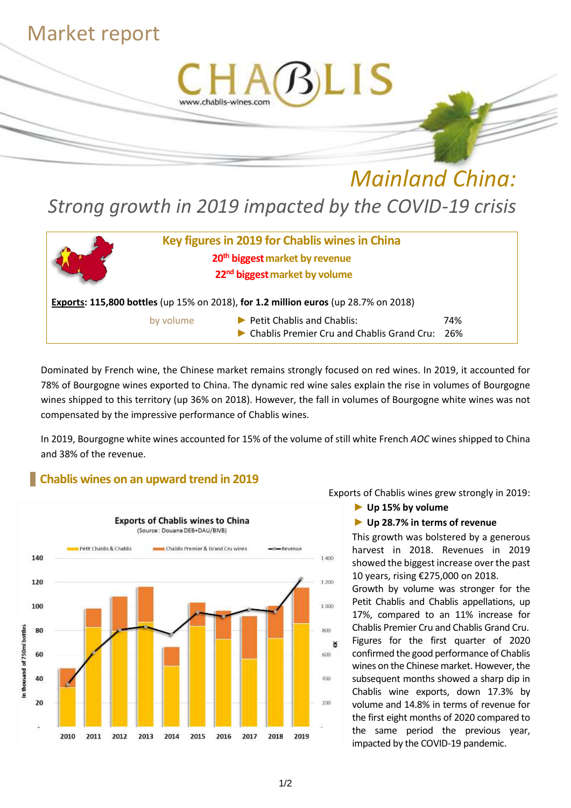## Market report



# *Mainland China: Strong growth in 2019 impacted by the COVID-19 crisis*



Dominated by French wine, the Chinese market remains strongly focused on red wines. In 2019, it accounted for 78% of Bourgogne wines exported to China. The dynamic red wine sales explain the rise in volumes of Bourgogne wines shipped to this territory (up 36% on 2018). However, the fall in volumes of Bourgogne white wines was not compensated by the impressive performance of Chablis wines.

In 2019, Bourgogne white wines accounted for 15% of the volume of still white French *AOC* wines shipped to China and 38% of the revenue.

## **Chablis wines on an upward trend in 2019**



Exports of Chablis wines grew strongly in 2019:

► **Up 15% by volume**

### ► **Up 28.7% in terms of revenue**

This growth was bolstered by a generous harvest in 2018. Revenues in 2019 showed the biggest increase over the past 10 years, rising €275,000 on 2018.

Growth by volume was stronger for the Petit Chablis and Chablis appellations, up 17%, compared to an 11% increase for Chablis Premier Cru and Chablis Grand Cru. Figures for the first quarter of 2020 confirmed the good performance of Chablis wines on the Chinese market. However, the subsequent months showed a sharp dip in Chablis wine exports, down 17.3% by volume and 14.8% in terms of revenue for the first eight months of 2020 compared to the same period the previous year, impacted by the COVID-19 pandemic.